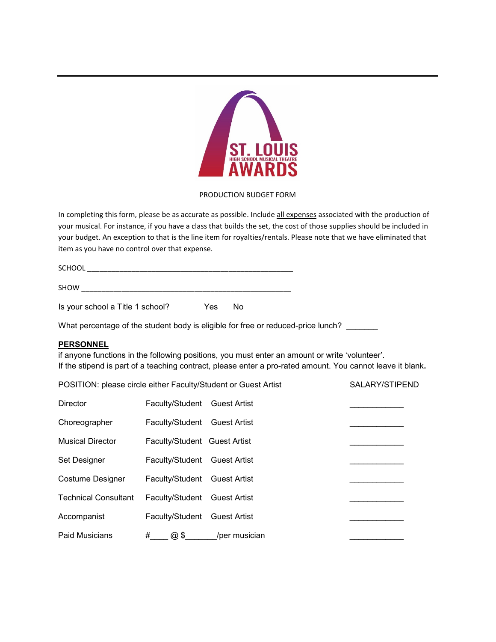

## PRODUCTION BUDGET FORM

In completing this form, please be as accurate as possible. Include all expenses associated with the production of your musical. For instance, if you have a class that builds the set, the cost of those supplies should be included in your budget. An exception to that is the line item for royalties/rentals. Please note that we have eliminated that item as you have no control over that expense.

| <b>SCHOOL</b> |  |  |  |
|---------------|--|--|--|
|               |  |  |  |
| <b>SHOW</b>   |  |  |  |

| Is your school a Title 1 school? | Yes No |  |
|----------------------------------|--------|--|
|----------------------------------|--------|--|

What percentage of the student body is eligible for free or reduced-price lunch?

## **PERSONNEL**

if anyone functions in the following positions, you must enter an amount or write 'volunteer'. If the stipend is part of a teaching contract, please enter a pro-rated amount. You cannot leave it blank**.**

| POSITION: please circle either Faculty/Student or Guest Artist |                              |                     | SALARY/STIPEND |
|----------------------------------------------------------------|------------------------------|---------------------|----------------|
| Director                                                       | Faculty/Student Guest Artist |                     |                |
| Choreographer                                                  | Faculty/Student Guest Artist |                     |                |
| <b>Musical Director</b>                                        | Faculty/Student Guest Artist |                     |                |
| Set Designer                                                   | Faculty/Student Guest Artist |                     |                |
| <b>Costume Designer</b>                                        | Faculty/Student Guest Artist |                     |                |
| <b>Technical Consultant</b>                                    | Faculty/Student Guest Artist |                     |                |
| Accompanist                                                    | Faculty/Student              | <b>Guest Artist</b> |                |
| <b>Paid Musicians</b>                                          | #<br>@5                      | /per musician       |                |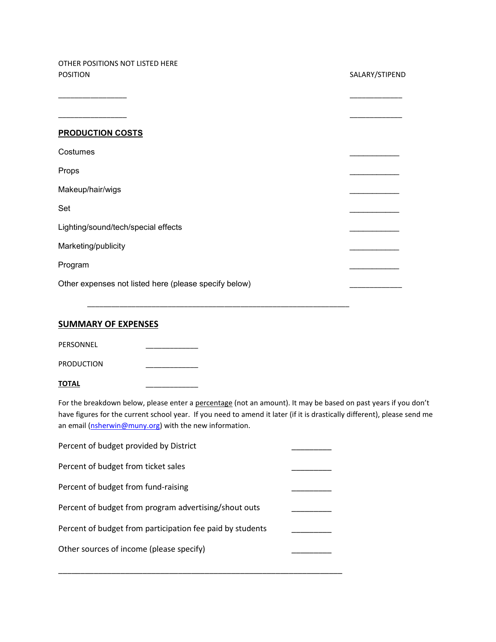OTHER POSITIONS NOT LISTED HERE

| <b>POSITION</b>                                       | SALARY/STIPEND |
|-------------------------------------------------------|----------------|
|                                                       |                |
| <b>PRODUCTION COSTS</b>                               |                |
| Costumes                                              |                |
| Props                                                 |                |
| Makeup/hair/wigs                                      |                |
| Set                                                   |                |
| Lighting/sound/tech/special effects                   |                |
| Marketing/publicity                                   |                |
| Program                                               |                |
| Other expenses not listed here (please specify below) |                |

\_\_\_\_\_\_\_\_\_\_\_\_\_\_\_\_\_\_\_\_\_\_\_\_\_\_\_\_\_\_\_\_\_\_\_\_\_\_\_\_\_\_\_\_\_\_\_\_\_\_\_\_\_\_\_\_\_\_\_\_\_\_\_\_\_

## **SUMMARY OF EXPENSES**

PERSONNEL \_\_\_\_\_\_\_\_\_\_\_\_\_

PRODUCTION \_\_\_\_\_\_\_\_\_\_\_\_\_

| TOTAL |  |
|-------|--|
|       |  |

For the breakdown below, please enter a percentage (not an amount). It may be based on past years if you don't have figures for the current school year. If you need to amend it later (if it is drastically different), please send me an email [\(nsherwin@muny.org\)](mailto:nsherwin@muny.org) with the new information.

| Percent of budget provided by District                    |  |
|-----------------------------------------------------------|--|
| Percent of budget from ticket sales                       |  |
| Percent of budget from fund-raising                       |  |
| Percent of budget from program advertising/shout outs     |  |
| Percent of budget from participation fee paid by students |  |
| Other sources of income (please specify)                  |  |

\_\_\_\_\_\_\_\_\_\_\_\_\_\_\_\_\_\_\_\_\_\_\_\_\_\_\_\_\_\_\_\_\_\_\_\_\_\_\_\_\_\_\_\_\_\_\_\_\_\_\_\_\_\_\_\_\_\_\_\_\_\_\_\_